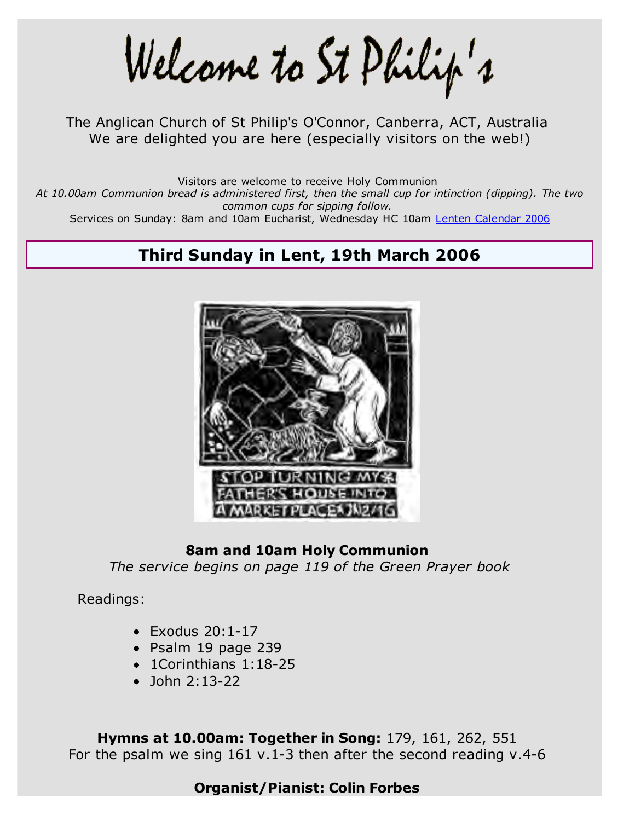Welcame to St Philip's

The Anglican Church of St Philip's O'Connor, Canberra, ACT, Australia We are delighted you are here (especially visitors on the web!)

Visitors are welcome to receive Holy Communion

*At 10.00am Communion bread is administered first, then the small cup for intinction (dipping). The two common cups for sipping follow.*

Services on Sunday: 8am and 10am Eucharist, Wednesday HC 10am Lenten Calendar 2006

# **Third Sunday in Lent, 19th March 2006**



#### **8am and 10am Holy Communion**

*The service begins on page 119 of the Green Prayer book*

Readings:

- $\bullet$  Exodus 20:1-17
- Psalm 19 page 239
- 1Corinthians 1:18-25
- $\bullet$  John 2:13-22

**Hymns at 10.00am: Together in Song:** 179, 161, 262, 551 For the psalm we sing 161 v.1-3 then after the second reading v.4-6

## **Organist/Pianist: Colin Forbes**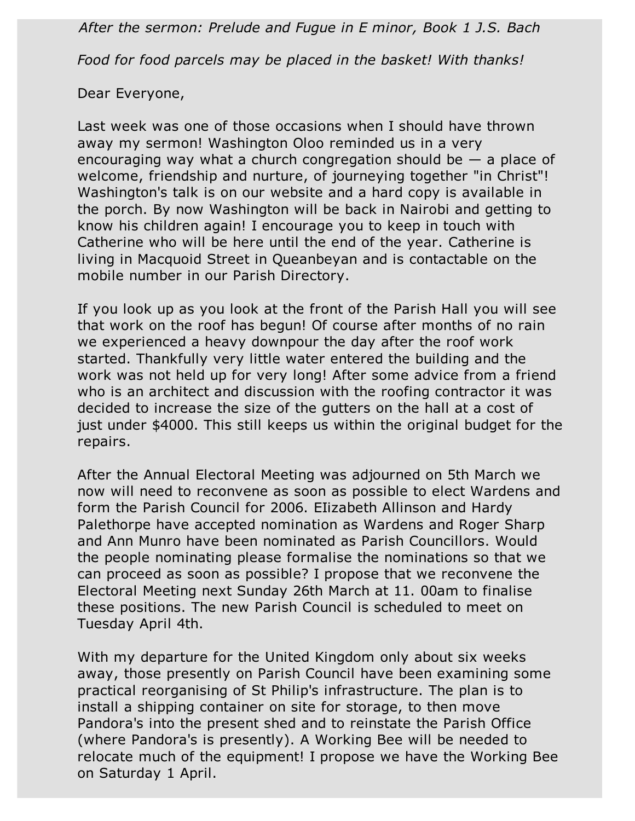*After the sermon: Prelude and Fugue in E minor, Book 1 J.S. Bach*

*Food for food parcels may be placed in the basket! With thanks!*

Dear Everyone,

Last week was one of those occasions when I should have thrown away my sermon! Washington Oloo reminded us in a very encouraging way what a church congregation should be  $-$  a place of welcome, friendship and nurture, of journeying together "in Christ"! Washington's talk is on our website and a hard copy is available in the porch. By now Washington will be back in Nairobi and getting to know his children again! I encourage you to keep in touch with Catherine who will be here until the end of the year. Catherine is living in Macquoid Street in Queanbeyan and is contactable on the mobile number in our Parish Directory.

If you look up as you look at the front of the Parish Hall you will see that work on the roof has begun! Of course after months of no rain we experienced a heavy downpour the day after the roof work started. Thankfully very little water entered the building and the work was not held up for very long! After some advice from a friend who is an architect and discussion with the roofing contractor it was decided to increase the size of the gutters on the hall at a cost of just under \$4000. This still keeps us within the original budget for the repairs.

After the Annual Electoral Meeting was adjourned on 5th March we now will need to reconvene as soon as possible to elect Wardens and form the Parish Council for 2006. EIizabeth Allinson and Hardy Palethorpe have accepted nomination as Wardens and Roger Sharp and Ann Munro have been nominated as Parish Councillors. Would the people nominating please formalise the nominations so that we can proceed as soon as possible? I propose that we reconvene the Electoral Meeting next Sunday 26th March at 11. 00am to finalise these positions. The new Parish Council is scheduled to meet on Tuesday April 4th.

With my departure for the United Kingdom only about six weeks away, those presently on Parish Council have been examining some practical reorganising of St Philip's infrastructure. The plan is to install a shipping container on site for storage, to then move Pandora's into the present shed and to reinstate the Parish Office (where Pandora's is presently). A Working Bee will be needed to relocate much of the equipment! I propose we have the Working Bee on Saturday 1 April.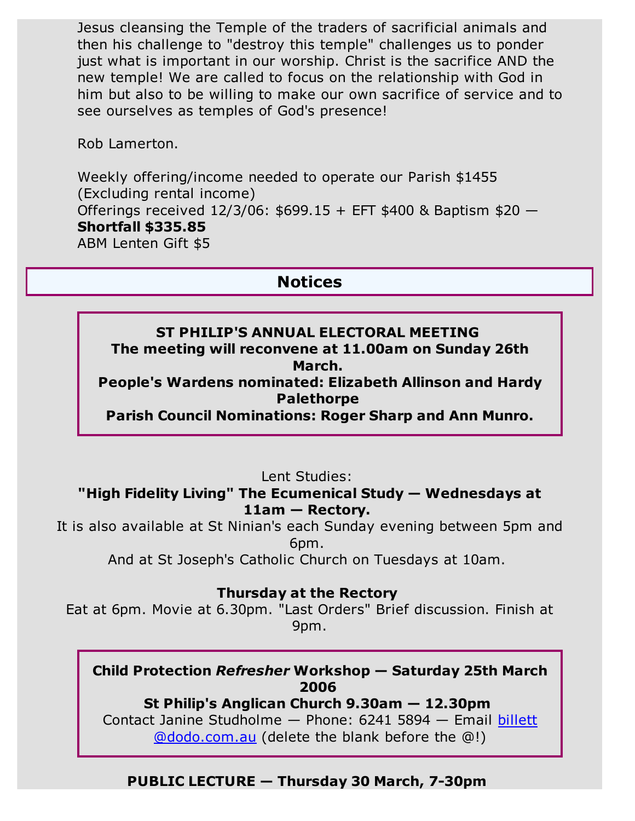Jesus cleansing the Temple of the traders of sacrificial animals and then his challenge to "destroy this temple" challenges us to ponder just what is important in our worship. Christ is the sacrifice AND the new temple! We are called to focus on the relationship with God in him but also to be willing to make our own sacrifice of service and to see ourselves as temples of God's presence!

Rob Lamerton.

Weekly offering/income needed to operate our Parish \$1455 (Excluding rental income) Offerings received 12/3/06: \$699.15 + EFT \$400 & Baptism \$20 — **Shortfall \$335.85** ABM Lenten Gift \$5

# **Notices**

## **ST PHILIP'S ANNUAL ELECTORAL MEETING The meeting will reconvene at 11.00am on Sunday 26th March.**

**People's Wardens nominated: Elizabeth Allinson and Hardy Palethorpe** 

**Parish Council Nominations: Roger Sharp and Ann Munro.**

Lent Studies:

## **"High Fidelity Living" The Ecumenical Study — Wednesdays at 11am — Rectory.**

It is also available at St Ninian's each Sunday evening between 5pm and 6pm.

And at St Joseph's Catholic Church on Tuesdays at 10am.

## **Thursday at the Rectory**

Eat at 6pm. Movie at 6.30pm. "Last Orders" Brief discussion. Finish at 9pm.

### **Child Protection** *Refresher* **Workshop — Saturday 25th March 2006**

**St Philip's Anglican Church 9.30am — 12.30pm** Contact Janine Studholme — Phone: 6241 5894 — Email billett @dodo.com.au (delete the blank before the @!)

# **PUBLIC LECTURE — Thursday 30 March, 7-30pm**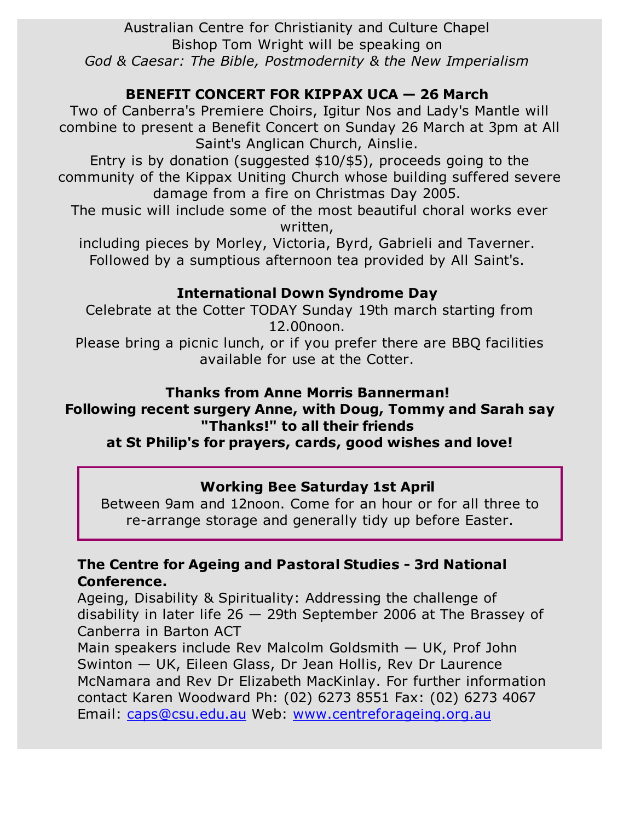Australian Centre for Christianity and Culture Chapel Bishop Tom Wright will be speaking on *God & Caesar: The Bible, Postmodernity & the New Imperialism*

## **BENEFIT CONCERT FOR KIPPAX UCA — 26 March**

Two of Canberra's Premiere Choirs, Igitur Nos and Lady's Mantle will combine to present a Benefit Concert on Sunday 26 March at 3pm at All Saint's Anglican Church, Ainslie.

Entry is by donation (suggested \$10/\$5), proceeds going to the community of the Kippax Uniting Church whose building suffered severe damage from a fire on Christmas Day 2005.

The music will include some of the most beautiful choral works ever written,

including pieces by Morley, Victoria, Byrd, Gabrieli and Taverner. Followed by a sumptious afternoon tea provided by All Saint's.

### **International Down Syndrome Day**

Celebrate at the Cotter TODAY Sunday 19th march starting from 12.00noon.

Please bring a picnic lunch, or if you prefer there are BBQ facilities available for use at the Cotter.

#### **Thanks from Anne Morris Bannerman!**

## **Following recent surgery Anne, with Doug, Tommy and Sarah say "Thanks!" to all their friends**

**at St Philip's for prayers, cards, good wishes and love!**

### **Working Bee Saturday 1st April**

Between 9am and 12noon. Come for an hour or for all three to re-arrange storage and generally tidy up before Easter.

### **The Centre for Ageing and Pastoral Studies - 3rd National Conference.**

Ageing, Disability & Spirituality: Addressing the challenge of disability in later life 26 — 29th September 2006 at The Brassey of Canberra in Barton ACT

Main speakers include Rev Malcolm Goldsmith — UK, Prof John Swinton — UK, Eileen Glass, Dr Jean Hollis, Rev Dr Laurence McNamara and Rev Dr Elizabeth MacKinlay. For further information contact Karen Woodward Ph: (02) 6273 8551 Fax: (02) 6273 4067 Email: caps@csu.edu.au Web: www.centreforageing.org.au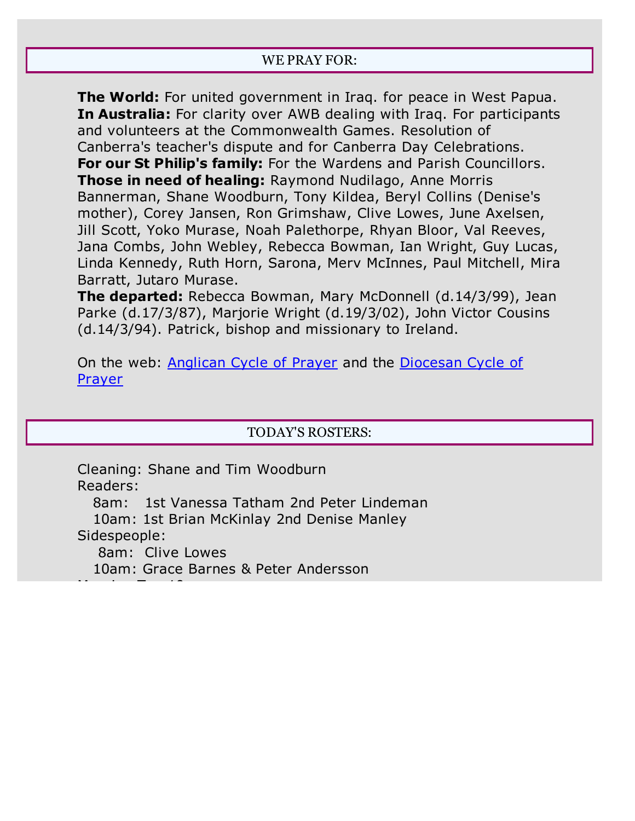#### WE PRAY FOR:

**The World:** For united government in Iraq. for peace in West Papua. **In Australia:** For clarity over AWB dealing with Iraq. For participants and volunteers at the Commonwealth Games. Resolution of Canberra's teacher's dispute and for Canberra Day Celebrations. **For our St Philip's family:** For the Wardens and Parish Councillors. **Those in need of healing:** Raymond Nudilago, Anne Morris Bannerman, Shane Woodburn, Tony Kildea, Beryl Collins (Denise's mother), Corey Jansen, Ron Grimshaw, Clive Lowes, June Axelsen, Jill Scott, Yoko Murase, Noah Palethorpe, Rhyan Bloor, Val Reeves, Jana Combs, John Webley, Rebecca Bowman, Ian Wright, Guy Lucas, Linda Kennedy, Ruth Horn, Sarona, Merv McInnes, Paul Mitchell, Mira Barratt, Jutaro Murase.

**The departed:** Rebecca Bowman, Mary McDonnell (d.14/3/99), Jean Parke (d.17/3/87), Marjorie Wright (d.19/3/02), John Victor Cousins (d.14/3/94). Patrick, bishop and missionary to Ireland.

On the web: Anglican Cycle of Prayer and the Diocesan Cycle of Prayer

#### TODAY'S ROSTERS:

Cleaning: Shane and Tim Woodburn Readers:

8am: 1st Vanessa Tatham 2nd Peter Lindeman

 10am: 1st Brian McKinlay 2nd Denise Manley Sidespeople:

8am: Clive Lowes

Morning Tea 10am:

10am: Grace Barnes & Peter Andersson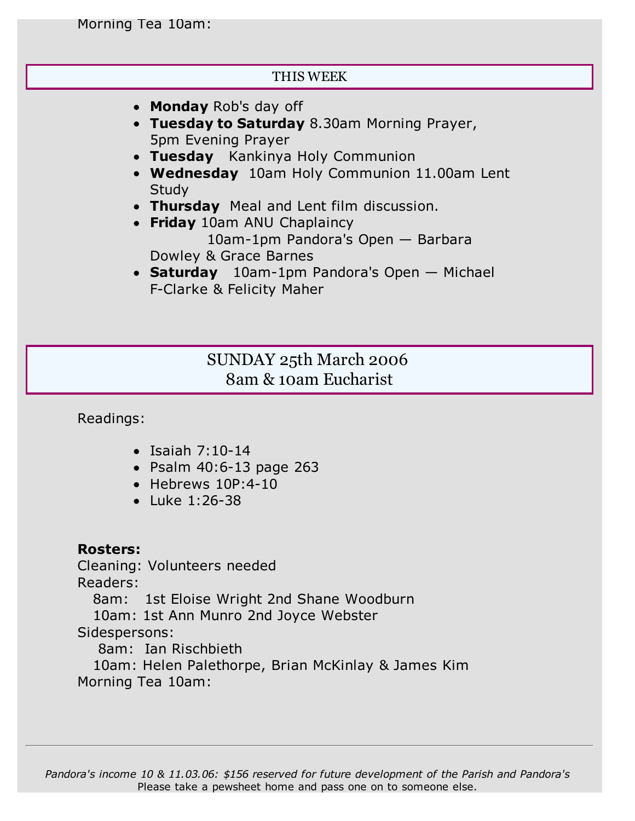#### THIS WEEK

- **Monday** Rob's day off
- **Tuesday to Saturday** 8.30am Morning Prayer, 5pm Evening Prayer
- **Tuesday** Kankinya Holy Communion
- **Wednesday** 10am Holy Communion 11.00am Lent **Study**
- **Thursday** Meal and Lent film discussion.
- **Friday** 10am ANU Chaplaincy 10am-1pm Pandora's Open — Barbara Dowley & Grace Barnes
- **Saturday** 10am-1pm Pandora's Open Michael F-Clarke & Felicity Maher

# SUNDAY 25th March 2006 8am & 10am Eucharist

Readings:

- $\bullet$  Isaiah 7:10-14
- Psalm 40:6-13 page 263
- $\bullet$  Hebrews 10P:4-10
- Luke 1:26-38

### **Rosters:**

Cleaning: Volunteers needed Readers:

8am: 1st Eloise Wright 2nd Shane Woodburn

10am: 1st Ann Munro 2nd Joyce Webster

Sidespersons:

8am: Ian Rischbieth

 10am: Helen Palethorpe, Brian McKinlay & James Kim Morning Tea 10am: